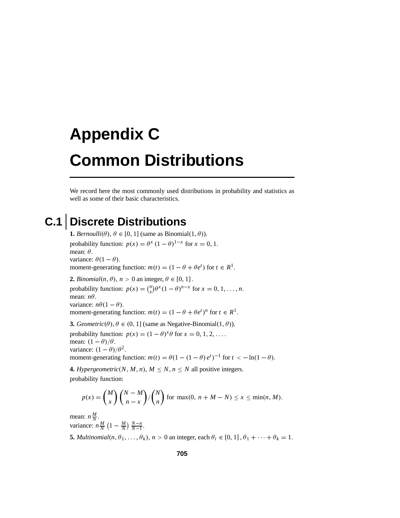## **Appendix C Common Distributions**

We record here the most commonly used distributions in probability and statistics as well as some of their basic characteristics.

## **C.1 Discrete Distributions**

**1.** *Bernoulli*( $\theta$ ),  $\theta \in [0, 1]$  (same as Binomial $(1, \theta)$ ). probability function:  $p(x) = \theta^x (1 - \theta)^{1-x}$  for  $x = 0, 1$ . mean: θ. variance:  $\theta(1 - \theta)$ . moment-generating function:  $m(t) = (1 - \theta + \theta e^t)$  for  $t \in R^1$ . **2.** *Binomial*( $n, \theta$ ),  $n > 0$  an integer,  $\theta \in [0, 1]$ . probability function:  $p(x) = {n \choose x} \theta^x (1 - \theta)^{n-x}$  for  $x = 0, 1, ..., n$ . mean: *n*θ. variance:  $n\theta(1-\theta)$ . moment-generating function:  $m(t) = (1 - \theta + \theta e^t)^n$  for  $t \in R^1$ . **3.** *Geometric*( $\theta$ ),  $\theta \in (0, 1]$  (same as Negative-Binomial $(1, \theta)$ ). probability function:  $p(x) = (1 - \theta)^{x} \theta$  for  $x = 0, 1, 2, \ldots$ . mean:  $(1 - \theta)/\theta$ . variance:  $(1 - \theta)/\theta^2$ . moment-generating function:  $m(t) = \theta(1 - (1 - \theta) e^t)^{-1}$  for  $t < -\ln(1 - \theta)$ .

**4.** *Hypergeometric*(*N*, *M*, *n*),  $M \leq N, n \leq N$  all positive integers. probability function:

$$
p(x) = {M \choose x} {N-M \choose n-x} / {N \choose n}
$$
 for max(0, n + M - N)  $\leq x \leq \min(n, M)$ .

mean:  $n\frac{M}{N}$ . variance:  $n \frac{M}{N} \left(1 - \frac{M}{N}\right) \frac{N-n}{N-1}$ . **5.** *Multinomial*( $n, \theta_1, \ldots, \theta_k$ ),  $n > 0$  an integer, each  $\theta_i \in [0, 1]$ ,  $\theta_1 + \cdots + \theta_k = 1$ .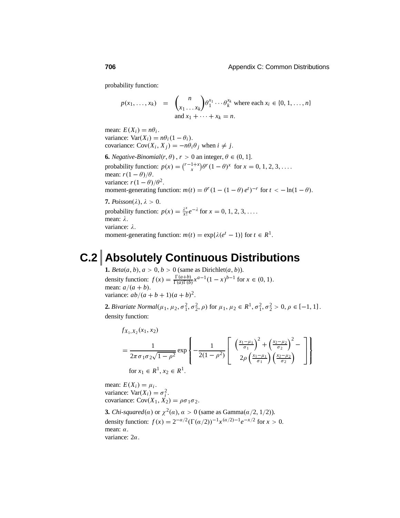probability function:

$$
p(x_1, \ldots, x_k) = \binom{n}{x_1 \ldots x_k} \theta_1^{x_1} \cdots \theta_k^{x_k}
$$
 where each  $x_i \in \{0, 1, \ldots, n\}$   
and  $x_1 + \cdots + x_k = n$ .

mean:  $E(X_i) = n\theta_i$ . variance:  $Var(X_i) = n\theta_i(1 - \theta_i)$ . covariance:  $Cov(X_i, X_j) = -n\theta_i \theta_j$  when  $i \neq j$ .

**6.** *Negative-Binomial*( $r, \theta$ ),  $r > 0$  an integer,  $\theta \in (0, 1]$ . probability function:  $p(x) = {r-1+x \choose x} \theta^r (1-\theta)^x$  for  $x = 0, 1, 2, 3, ...$ mean:  $r(1 - \theta)/\theta$ . variance:  $r(1 - \theta)/\theta^2$ . moment-generating function:  $m(t) = \theta^r (1 - (1 - \theta) e^t)^{-r}$  for  $t < -\ln(1 - \theta)$ .

**7.**  $Poisson(\lambda), \lambda > 0$ . probability function:  $p(x) = \frac{\lambda^x}{x!} e^{-\lambda}$  for  $x = 0, 1, 2, 3, \ldots$ . mean: λ. variance: λ. moment-generating function:  $m(t) = \exp{\lambda(e^t - 1)}$  for  $t \in R^1$ .

## **C.2 Absolutely Continuous Distributions**

**1.**  $Beta(a, b), a > 0, b > 0$  (same as Dirichlet $(a, b)$ ). density function:  $f(x) = \frac{\Gamma(a+b)}{\Gamma(a)\Gamma(b)} x^{a-1} (1-x)^{b-1}$  for  $x \in (0, 1)$ . mean:  $a/(a + b)$ . variance:  $ab/(a + b + 1)(a + b)^2$ .

**2.** *Bivariate Normal*( $\mu_1, \mu_2, \sigma_1^2, \sigma_2^2, \rho$ ) for  $\mu_1, \mu_2 \in R^1, \sigma_1^2, \sigma_2^2 > 0, \rho \in [-1, 1]$ . density function:

$$
f_{X_1, X_2}(x_1, x_2)
$$
  
=  $\frac{1}{2\pi \sigma_1 \sigma_2 \sqrt{1 - \rho^2}} \exp \left\{-\frac{1}{2(1 - \rho^2)} \left[ \frac{\left(\frac{x_1 - \mu_1}{\sigma_1}\right)^2 + \left(\frac{x_2 - \mu_2}{\sigma_2}\right)^2 - \left(\frac{x_1 - \mu_1}{\sigma_2}\right)^2}{2\rho \left(\frac{x_1 - \mu_1}{\sigma_1}\right) \left(\frac{x_2 - \mu_2}{\sigma_2}\right)} \right] \right\}$   
for  $x_1 \in R^1, x_2 \in R^1$ .

mean:  $E(X_i) = \mu_i$ . variance:  $Var(X_i) = \sigma_i^2$ . covariance:  $Cov(X_1, X_2) = \rho \sigma_1 \sigma_2$ .

**3.** *Chi-squared*( $\alpha$ ) or  $\chi^2(\alpha)$ ,  $\alpha > 0$  (same as Gamma( $\alpha/2$ , 1/2)). density function:  $f(x) = 2^{-\alpha/2} (\Gamma(\alpha/2))^{-1} x^{(\alpha/2)-1} e^{-x/2}$  for  $x > 0$ . mean: α. variance: 2α.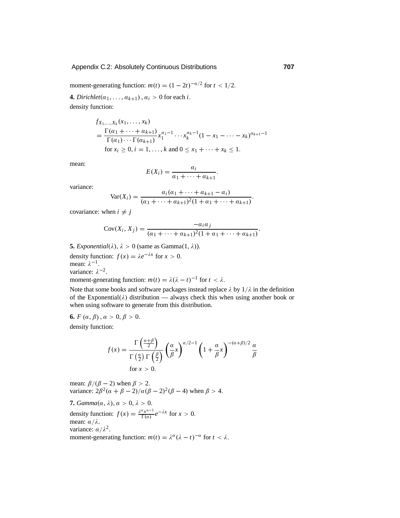## Appendix C.2: Absolutely Continuous Distributions **707**

moment-generating function:  $m(t) = (1 - 2t)^{-\alpha/2}$  for  $t < 1/2$ .

**4.** *Dirichlet*( $\alpha_1, \ldots, \alpha_{k+1}$ ),  $\alpha_i > 0$  for each *i*. density function:

> $f_{X_1,...,X_k}(x_1,...,x_k)$  $=\frac{\Gamma(\alpha_1 + \cdots + \alpha_{k+1})}{\Gamma(\alpha_1) \cdots \Gamma(\alpha_{k+1})} x_1^{\alpha_1-1} \cdots x_k^{\alpha_k-1} (1 - x_1 - \cdots - x_k)^{\alpha_{k+1}-1}$ for  $x_i \ge 0, i = 1, ..., k$  and  $0 \le x_1 + \cdots + x_k \le 1$ .

mean:

$$
E(X_i) = \frac{a_i}{a_1 + \cdots + a_{k+1}}.
$$

variance:

$$
Var(X_i) = \frac{a_i(\alpha_1 + \dots + \alpha_{k+1} - \alpha_i)}{(\alpha_1 + \dots + \alpha_{k+1})^2(1 + \alpha_1 + \dots + \alpha_{k+1})}.
$$

covariance: when  $i \neq j$ 

$$
Cov(X_i, X_j) = \frac{-a_i a_j}{(a_1 + \dots + a_{k+1})^2 (1 + a_1 + \dots + a_{k+1})}
$$

**5.** *Exponential*( $\lambda$ ),  $\lambda > 0$  (same as Gamma(1,  $\lambda$ )).

density function:  $f(x) = \lambda e^{-\lambda x}$  for  $x > 0$ . mean:  $\lambda^{-1}$ . variance:  $\lambda^{-2}$ . moment-generating function:  $m(t) = \lambda(\lambda - t)^{-1}$  for  $t < \lambda$ .

Note that some books and software packages instead replace  $\lambda$  by  $1/\lambda$  in the definition of the Exponential( $\lambda$ ) distribution — always check this when using another book or when using software to generate from this distribution.

**6.**  $F(\alpha, \beta), \alpha > 0, \beta > 0.$ density function:

$$
f(x) = \frac{\Gamma\left(\frac{\alpha+\beta}{2}\right)}{\Gamma\left(\frac{\alpha}{2}\right)\Gamma\left(\frac{\beta}{2}\right)} \left(\frac{\alpha}{\beta}x\right)^{\alpha/2-1} \left(1 + \frac{\alpha}{\beta}x\right)^{-(\alpha+\beta)/2} \frac{\alpha}{\beta}
$$
  
for  $x > 0$ .

mean:  $\beta/(\beta - 2)$  when  $\beta > 2$ . variance:  $2\beta^2(\alpha + \beta - 2)/\alpha(\beta - 2)^2(\beta - 4)$  when  $\beta > 4$ .

**7.**  $Gamma(\alpha, \lambda), \alpha > 0, \lambda > 0.$ density function:  $f(x) = \frac{\lambda^a x^{a-1}}{\Gamma(a)} e^{-\lambda x}$  for  $x > 0$ . mean:  $\alpha/\lambda$ . variance:  $\alpha/\lambda^2$ . moment-generating function:  $m(t) = \lambda^{\alpha} (\lambda - t)^{-\alpha}$  for  $t < \lambda$ . .